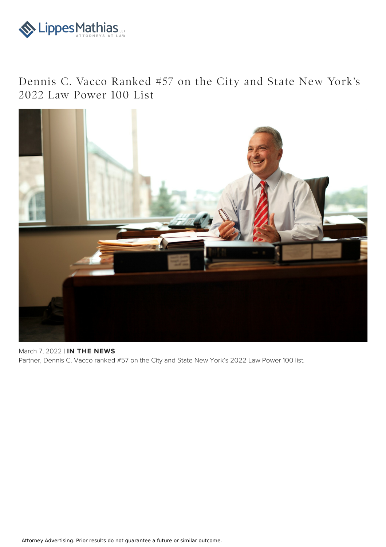

## Dennis C. Vacco Ranked #57 on the City and State New York's 2022 Law Power 100 List



March 7, 2022 | **IN THE NEWS** Partner, Dennis C. Vacco ranked #57 on the City and State New York's 2022 Law Power 100 list.

Attorney Advertising. Prior results do not guarantee a future or similar outcome.